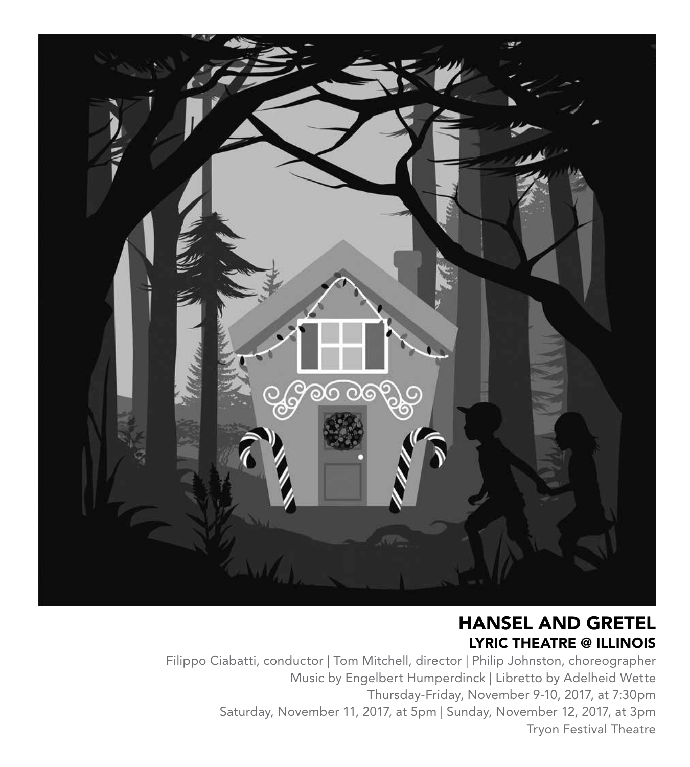

### HANSEL AND GRETEL LYRIC THEATRE @ ILLINOIS

Filippo Ciabatti, conductor | Tom Mitchell, director | Philip Johnston, choreographer Music by Engelbert Humperdinck | Libretto by Adelheid Wette Thursday-Friday, November 9-10, 2017, at 7:30pm Saturday, November 11, 2017, at 5pm | Sunday, November 12, 2017, at 3pm Tryon Festival Theatre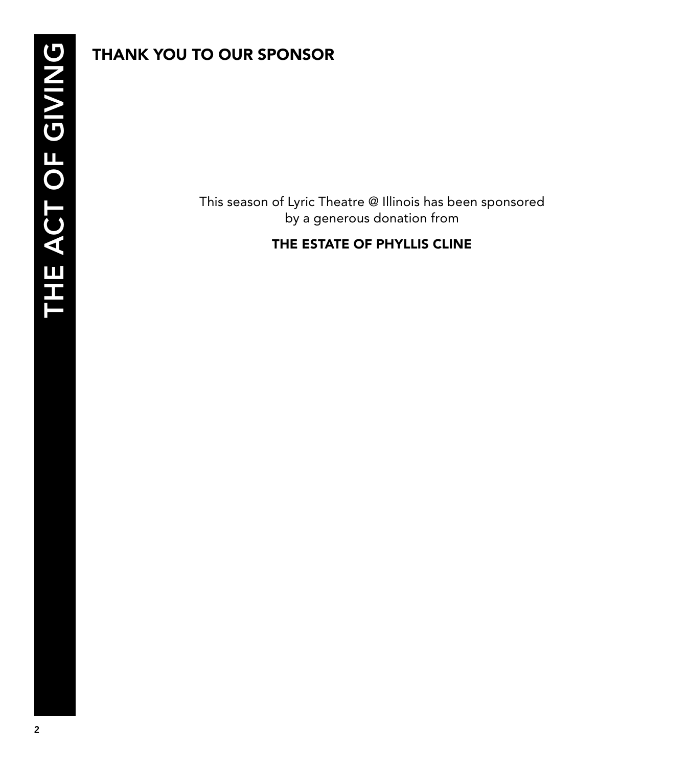### THANK YOU TO OUR SPONSOR

This season of Lyric Theatre @ Illinois has been sponsored by a generous donation from

### THE ESTATE OF PHYLLIS CLINE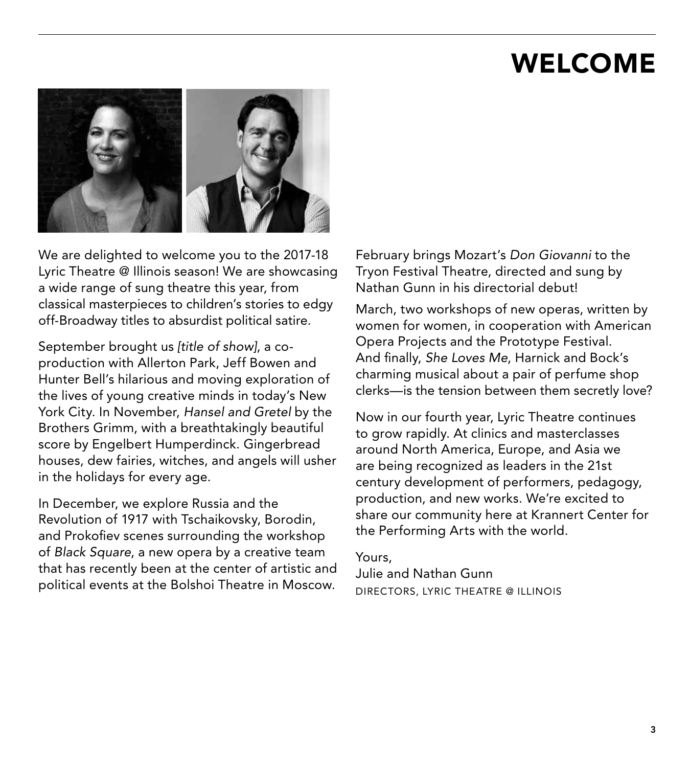# WELCOME



We are delighted to welcome you to the 2017-18 Lyric Theatre @ Illinois season! We are showcasing a wide range of sung theatre this year, from classical masterpieces to children's stories to edgy off-Broadway titles to absurdist political satire.

September brought us *[title of show]*, a coproduction with Allerton Park, Jeff Bowen and Hunter Bell's hilarious and moving exploration of the lives of young creative minds in today's New York City. In November, *Hansel and Gretel* by the Brothers Grimm, with a breathtakingly beautiful score by Engelbert Humperdinck. Gingerbread houses, dew fairies, witches, and angels will usher in the holidays for every age.

In December, we explore Russia and the Revolution of 1917 with Tschaikovsky, Borodin, and Prokofiev scenes surrounding the workshop of *Black Square*, a new opera by a creative team that has recently been at the center of artistic and political events at the Bolshoi Theatre in Moscow.

February brings Mozart's *Don Giovanni* to the Tryon Festival Theatre, directed and sung by Nathan Gunn in his directorial debut!

March, two workshops of new operas, written by women for women, in cooperation with American Opera Projects and the Prototype Festival. And finally, *She Loves Me*, Harnick and Bock's charming musical about a pair of perfume shop clerks—is the tension between them secretly love?

Now in our fourth year, Lyric Theatre continues to grow rapidly. At clinics and masterclasses around North America, Europe, and Asia we are being recognized as leaders in the 21st century development of performers, pedagogy, production, and new works. We're excited to share our community here at Krannert Center for the Performing Arts with the world.

### Yours,

Julie and Nathan Gunn DIRECTORS, LYRIC THEATRE @ ILLINOIS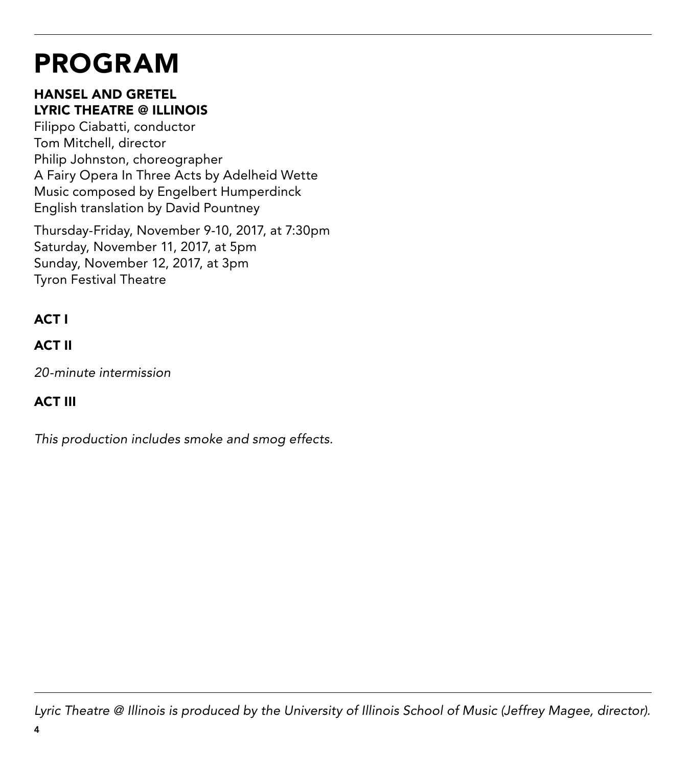# PROGRAM

### HANSEL AND GRETEL LYRIC THEATRE @ ILLINOIS

Filippo Ciabatti, conductor Tom Mitchell, director Philip Johnston, choreographer A Fairy Opera In Three Acts by Adelheid Wette Music composed by Engelbert Humperdinck English translation by David Pountney

Thursday-Friday, November 9-10, 2017, at 7:30pm Saturday, November 11, 2017, at 5pm Sunday, November 12, 2017, at 3pm Tyron Festival Theatre

### ACT I

### ACT II

*20-minute intermission*

### ACT III

*This production includes smoke and smog effects.*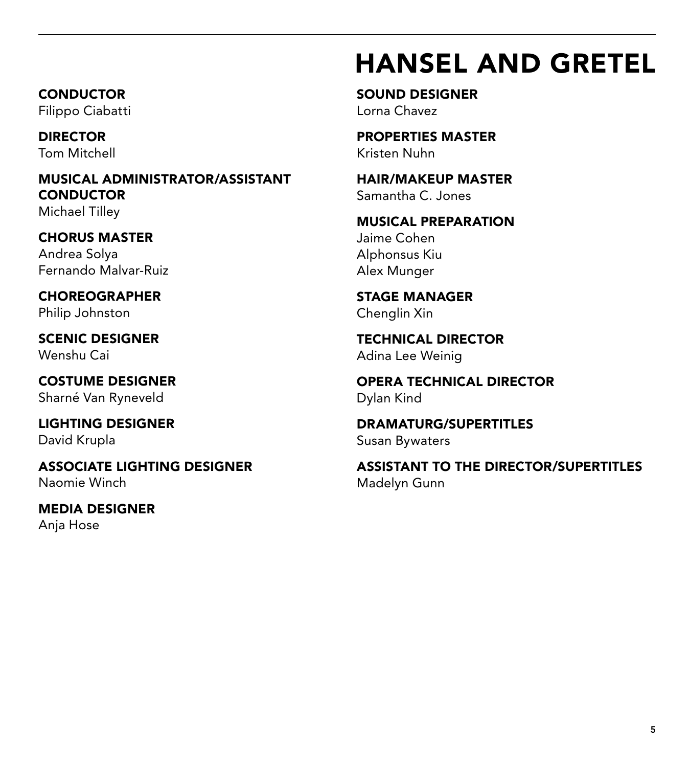# HANSEL AND GRETEL

**CONDUCTOR** Filippo Ciabatti

DIRECTOR Tom Mitchell

MUSICAL ADMINISTRATOR/ASSISTANT **CONDUCTOR** Michael Tilley

CHORUS MASTER Andrea Solya Fernando Malvar-Ruiz

CHOREOGRAPHER Philip Johnston

SCENIC DESIGNER Wenshu Cai

COSTUME DESIGNER Sharné Van Ryneveld

LIGHTING DESIGNER David Krupla

ASSOCIATE LIGHTING DESIGNER Naomie Winch

MEDIA DESIGNER Anja Hose

SOUND DESIGNER Lorna Chavez

PROPERTIES MASTER Kristen Nuhn

HAIR/MAKEUP MASTER Samantha C. Jones

MUSICAL PREPARATION Jaime Cohen Alphonsus Kiu Alex Munger

STAGE MANAGER Chenglin Xin

TECHNICAL DIRECTOR Adina Lee Weinig

OPERA TECHNICAL DIRECTOR Dylan Kind

DRAMATURG/SUPERTITLES Susan Bywaters

ASSISTANT TO THE DIRECTOR/SUPERTITLES Madelyn Gunn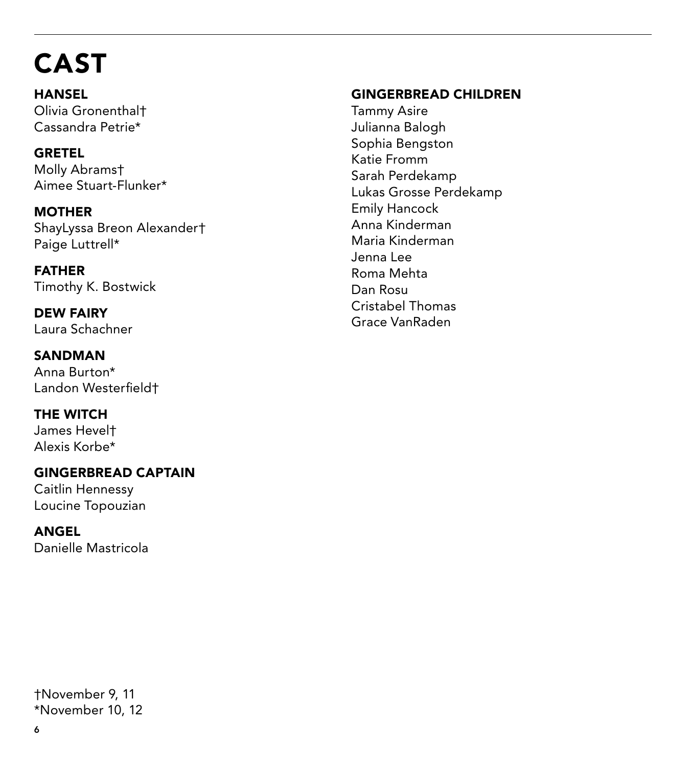# CAST

**HANSEL** Olivia Gronenthal† Cassandra Petrie\*

GRETEL Molly Abrams† Aimee Stuart-Flunker\*

**MOTHER** ShayLyssa Breon Alexander† Paige Luttrell\*

FATHER Timothy K. Bostwick

DEW FAIRY Laura Schachner

SANDMAN Anna Burton\* Landon Westerfield†

THE WITCH James Hevel† Alexis Korbe\*

GINGERBREAD CAPTAIN Caitlin Hennessy Loucine Topouzian

ANGEL Danielle Mastricola

### GINGERBREAD CHILDREN

Tammy Asire Julianna Balogh Sophia Bengston Katie Fromm Sarah Perdekamp Lukas Grosse Perdekamp Emily Hancock Anna Kinderman Maria Kinderman Jenna Lee Roma Mehta Dan Rosu Cristabel Thomas Grace VanRaden

†November 9, 11 \*November 10, 12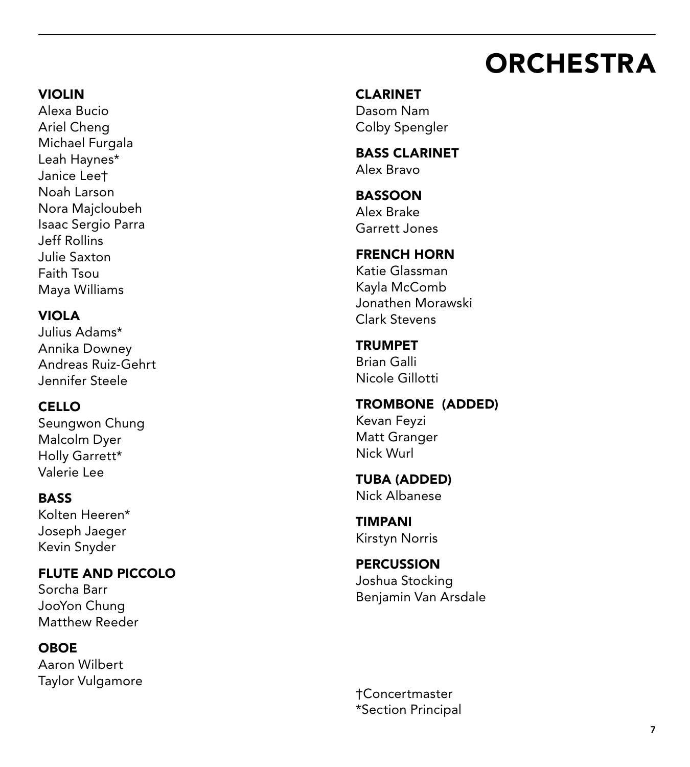# **ORCHESTRA**

### VIOLIN

Alexa Bucio Ariel Cheng Michael Furgala Leah Haynes\* Janice Lee† Noah Larson Nora Majcloubeh Isaac Sergio Parra Jeff Rollins Julie Saxton Faith Tsou Maya Williams

### VIOLA

Julius Adams\* Annika Downey Andreas Ruiz-Gehrt Jennifer Steele

### CELLO

Seungwon Chung Malcolm Dyer Holly Garrett\* Valerie Lee

### **BASS**

Kolten Heeren\* Joseph Jaeger Kevin Snyder

### FLUTE AND PICCOLO

Sorcha Barr JooYon Chung Matthew Reeder

#### OBOE

Aaron Wilbert Taylor Vulgamore CLARINET Dasom Nam

Colby Spengler BASS CLARINET

Alex Bravo

#### BASSOON Alex Brake Garrett Jones

FRENCH HORN Katie Glassman

Kayla McComb Jonathen Morawski Clark Stevens

#### TRUMPET Brian Galli

Nicole Gillotti

TROMBONE (ADDED) Kevan Feyzi Matt Granger Nick Wurl

#### TUBA (ADDED) Nick Albanese

TIMPANI Kirstyn Norris

#### **PERCUSSION** Joshua Stocking Benjamin Van Arsdale

†Concertmaster \*Section Principal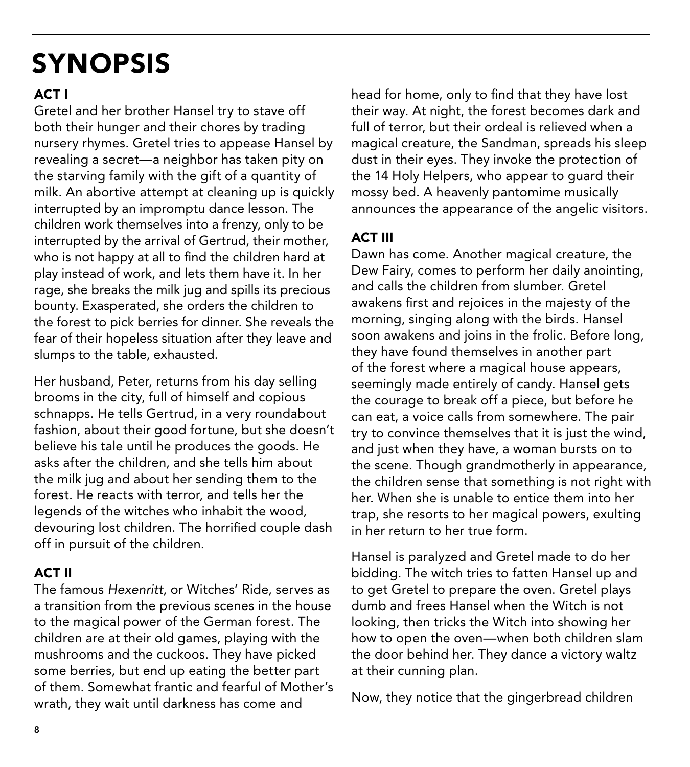# SYNOPSIS

### ACT I

Gretel and her brother Hansel try to stave off both their hunger and their chores by trading nursery rhymes. Gretel tries to appease Hansel by revealing a secret—a neighbor has taken pity on the starving family with the gift of a quantity of milk. An abortive attempt at cleaning up is quickly interrupted by an impromptu dance lesson. The children work themselves into a frenzy, only to be interrupted by the arrival of Gertrud, their mother, who is not happy at all to find the children hard at play instead of work, and lets them have it. In her rage, she breaks the milk jug and spills its precious bounty. Exasperated, she orders the children to the forest to pick berries for dinner. She reveals the fear of their hopeless situation after they leave and slumps to the table, exhausted.

Her husband, Peter, returns from his day selling brooms in the city, full of himself and copious schnapps. He tells Gertrud, in a very roundabout fashion, about their good fortune, but she doesn't believe his tale until he produces the goods. He asks after the children, and she tells him about the milk jug and about her sending them to the forest. He reacts with terror, and tells her the legends of the witches who inhabit the wood, devouring lost children. The horrified couple dash off in pursuit of the children.

### ACT II

The famous *Hexenritt*, or Witches' Ride, serves as a transition from the previous scenes in the house to the magical power of the German forest. The children are at their old games, playing with the mushrooms and the cuckoos. They have picked some berries, but end up eating the better part of them. Somewhat frantic and fearful of Mother's wrath, they wait until darkness has come and

head for home, only to find that they have lost their way. At night, the forest becomes dark and full of terror, but their ordeal is relieved when a magical creature, the Sandman, spreads his sleep dust in their eyes. They invoke the protection of the 14 Holy Helpers, who appear to guard their mossy bed. A heavenly pantomime musically announces the appearance of the angelic visitors.

### ACT III

Dawn has come. Another magical creature, the Dew Fairy, comes to perform her daily anointing, and calls the children from slumber. Gretel awakens first and rejoices in the majesty of the morning, singing along with the birds. Hansel soon awakens and joins in the frolic. Before long, they have found themselves in another part of the forest where a magical house appears, seemingly made entirely of candy. Hansel gets the courage to break off a piece, but before he can eat, a voice calls from somewhere. The pair try to convince themselves that it is just the wind, and just when they have, a woman bursts on to the scene. Though grandmotherly in appearance, the children sense that something is not right with her. When she is unable to entice them into her trap, she resorts to her magical powers, exulting in her return to her true form.

Hansel is paralyzed and Gretel made to do her bidding. The witch tries to fatten Hansel up and to get Gretel to prepare the oven. Gretel plays dumb and frees Hansel when the Witch is not looking, then tricks the Witch into showing her how to open the oven—when both children slam the door behind her. They dance a victory waltz at their cunning plan.

Now, they notice that the gingerbread children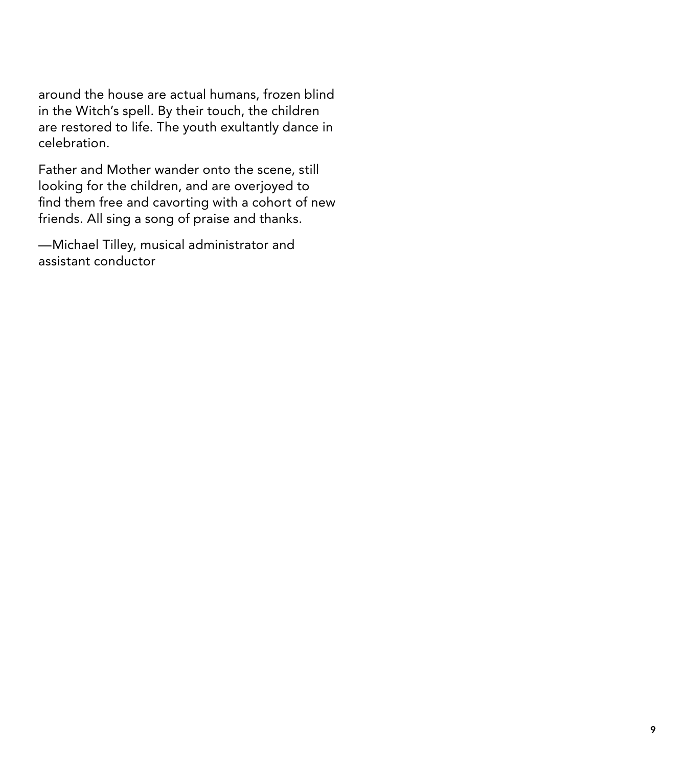around the house are actual humans, frozen blind in the Witch's spell. By their touch, the children are restored to life. The youth exultantly dance in celebration.

Father and Mother wander onto the scene, still looking for the children, and are overjoyed to find them free and cavorting with a cohort of new friends. All sing a song of praise and thanks.

—Michael Tilley, musical administrator and assistant conductor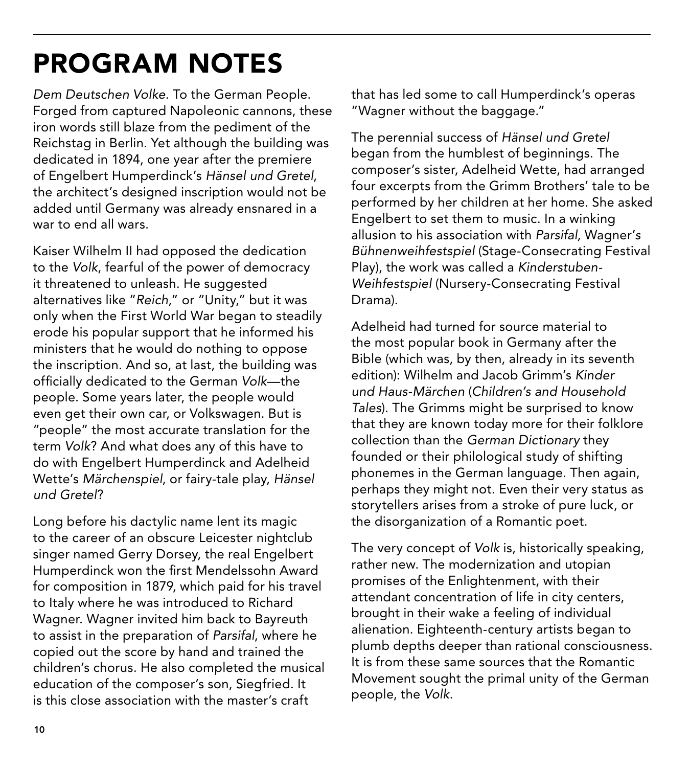# PROGRAM NOTES

*Dem Deutschen Volke*. To the German People. Forged from captured Napoleonic cannons, these iron words still blaze from the pediment of the Reichstag in Berlin. Yet although the building was dedicated in 1894, one year after the premiere of Engelbert Humperdinck's *Hänsel und Gretel*, the architect's designed inscription would not be added until Germany was already ensnared in a war to end all wars.

Kaiser Wilhelm II had opposed the dedication to the *Volk*, fearful of the power of democracy it threatened to unleash. He suggested alternatives like "*Reich*," or "Unity," but it was only when the First World War began to steadily erode his popular support that he informed his ministers that he would do nothing to oppose the inscription. And so, at last, the building was officially dedicated to the German *Volk*—the people. Some years later, the people would even get their own car, or Volkswagen. But is "people" the most accurate translation for the term *Volk*? And what does any of this have to do with Engelbert Humperdinck and Adelheid Wette's *Märchenspiel*, or fairy-tale play, *Hänsel und Gretel*?

Long before his dactylic name lent its magic to the career of an obscure Leicester nightclub singer named Gerry Dorsey, the real Engelbert Humperdinck won the first Mendelssohn Award for composition in 1879, which paid for his travel to Italy where he was introduced to Richard Wagner. Wagner invited him back to Bayreuth to assist in the preparation of *Parsifal*, where he copied out the score by hand and trained the children's chorus. He also completed the musical education of the composer's son, Siegfried. It is this close association with the master's craft

that has led some to call Humperdinck's operas "Wagner without the baggage."

The perennial success of *Hänsel und Gretel* began from the humblest of beginnings. The composer's sister, Adelheid Wette, had arranged four excerpts from the Grimm Brothers' tale to be performed by her children at her home. She asked Engelbert to set them to music. In a winking allusion to his association with *Parsifal,* Wagner'*s Bühnenweihfestspiel* (Stage-Consecrating Festival Play), the work was called a *Kinderstuben-Weihfestspiel* (Nursery-Consecrating Festival Drama).

Adelheid had turned for source material to the most popular book in Germany after the Bible (which was, by then, already in its seventh edition): Wilhelm and Jacob Grimm's *Kinder und Haus-Märchen* (*Children's and Household Tales*). The Grimms might be surprised to know that they are known today more for their folklore collection than the *German Dictionary* they founded or their philological study of shifting phonemes in the German language. Then again, perhaps they might not. Even their very status as storytellers arises from a stroke of pure luck, or the disorganization of a Romantic poet.

The very concept of *Volk* is, historically speaking, rather new. The modernization and utopian promises of the Enlightenment, with their attendant concentration of life in city centers, brought in their wake a feeling of individual alienation. Eighteenth-century artists began to plumb depths deeper than rational consciousness. It is from these same sources that the Romantic Movement sought the primal unity of the German people, the *Volk*.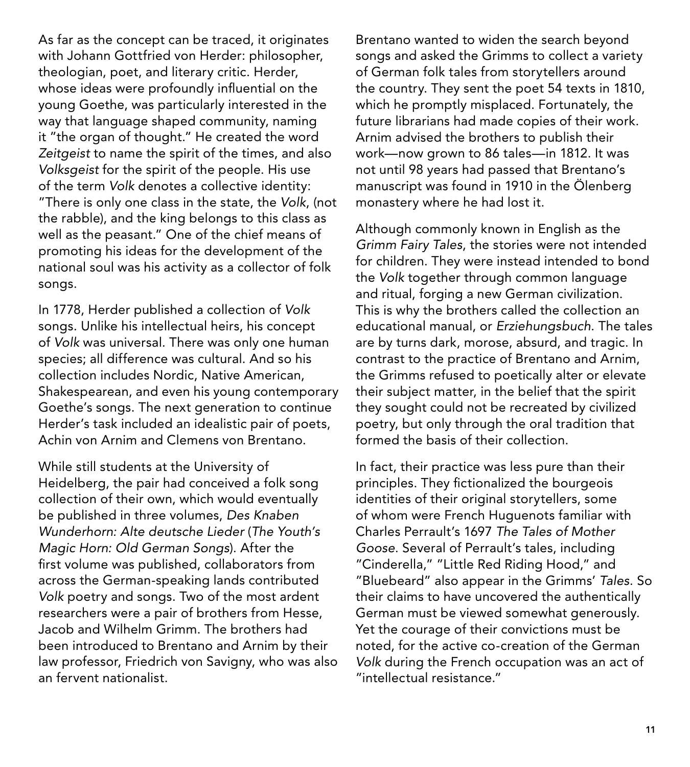As far as the concept can be traced, it originates with Johann Gottfried von Herder: philosopher, theologian, poet, and literary critic. Herder, whose ideas were profoundly influential on the young Goethe, was particularly interested in the way that language shaped community, naming it "the organ of thought." He created the word *Zeitgeist* to name the spirit of the times, and also *Volksgeist* for the spirit of the people. His use of the term *Volk* denotes a collective identity: "There is only one class in the state, the *Volk*, (not the rabble), and the king belongs to this class as well as the peasant." One of the chief means of promoting his ideas for the development of the national soul was his activity as a collector of folk songs.

In 1778, Herder published a collection of *Volk*  songs. Unlike his intellectual heirs, his concept of *Volk* was universal. There was only one human species; all difference was cultural. And so his collection includes Nordic, Native American, Shakespearean, and even his young contemporary Goethe's songs. The next generation to continue Herder's task included an idealistic pair of poets, Achin von Arnim and Clemens von Brentano.

While still students at the University of Heidelberg, the pair had conceived a folk song collection of their own, which would eventually be published in three volumes, *Des Knaben Wunderhorn: Alte deutsche Lieder* (*The Youth's Magic Horn: Old German Songs*). After the first volume was published, collaborators from across the German-speaking lands contributed *Volk* poetry and songs. Two of the most ardent researchers were a pair of brothers from Hesse, Jacob and Wilhelm Grimm. The brothers had been introduced to Brentano and Arnim by their law professor, Friedrich von Savigny, who was also an fervent nationalist.

Brentano wanted to widen the search beyond songs and asked the Grimms to collect a variety of German folk tales from storytellers around the country. They sent the poet 54 texts in 1810, which he promptly misplaced. Fortunately, the future librarians had made copies of their work. Arnim advised the brothers to publish their work—now grown to 86 tales—in 1812. It was not until 98 years had passed that Brentano's manuscript was found in 1910 in the Ölenberg monastery where he had lost it.

Although commonly known in English as the *Grimm Fairy Tales*, the stories were not intended for children. They were instead intended to bond the *Volk* together through common language and ritual, forging a new German civilization. This is why the brothers called the collection an educational manual, or *Erziehungsbuch*. The tales are by turns dark, morose, absurd, and tragic. In contrast to the practice of Brentano and Arnim, the Grimms refused to poetically alter or elevate their subject matter, in the belief that the spirit they sought could not be recreated by civilized poetry, but only through the oral tradition that formed the basis of their collection.

In fact, their practice was less pure than their principles. They fictionalized the bourgeois identities of their original storytellers, some of whom were French Huguenots familiar with Charles Perrault's 1697 *The Tales of Mother Goose*. Several of Perrault's tales, including "Cinderella," "Little Red Riding Hood," and "Bluebeard" also appear in the Grimms' *Tales*. So their claims to have uncovered the authentically German must be viewed somewhat generously. Yet the courage of their convictions must be noted, for the active co-creation of the German *Volk* during the French occupation was an act of "intellectual resistance."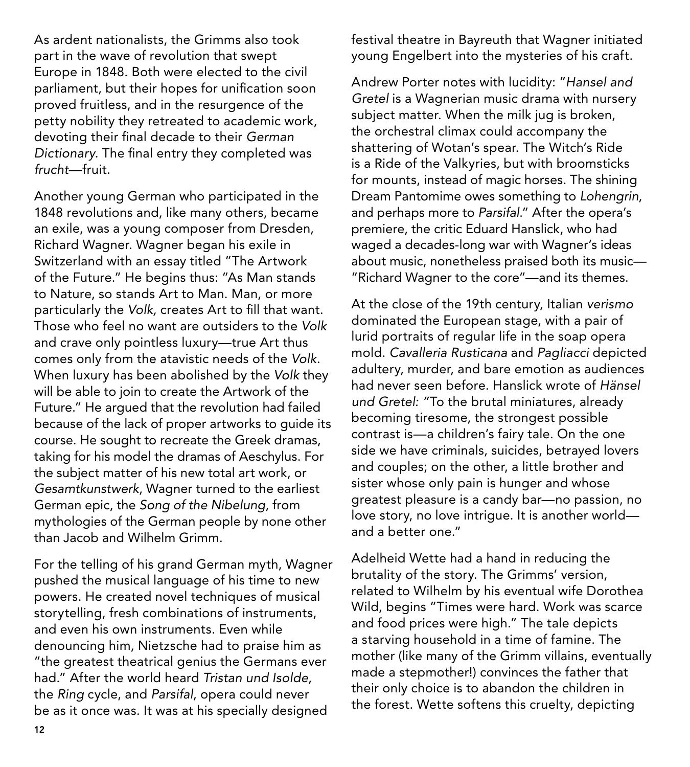As ardent nationalists, the Grimms also took part in the wave of revolution that swept Europe in 1848. Both were elected to the civil parliament, but their hopes for unification soon proved fruitless, and in the resurgence of the petty nobility they retreated to academic work, devoting their final decade to their *German Dictionary*. The final entry they completed was *frucht—*fruit.

Another young German who participated in the 1848 revolutions and, like many others, became an exile, was a young composer from Dresden, Richard Wagner. Wagner began his exile in Switzerland with an essay titled "The Artwork of the Future." He begins thus: "As Man stands to Nature, so stands Art to Man. Man, or more particularly the *Volk,* creates Art to fill that want. Those who feel no want are outsiders to the *Volk* and crave only pointless luxury—true Art thus comes only from the atavistic needs of the *Volk*. When luxury has been abolished by the *Volk* they will be able to join to create the Artwork of the Future." He argued that the revolution had failed because of the lack of proper artworks to guide its course. He sought to recreate the Greek dramas, taking for his model the dramas of Aeschylus. For the subject matter of his new total art work, or *Gesamtkunstwerk*, Wagner turned to the earliest German epic, the *Song of the Nibelung*, from mythologies of the German people by none other than Jacob and Wilhelm Grimm.

For the telling of his grand German myth, Wagner pushed the musical language of his time to new powers. He created novel techniques of musical storytelling, fresh combinations of instruments, and even his own instruments. Even while denouncing him, Nietzsche had to praise him as "the greatest theatrical genius the Germans ever had." After the world heard *Tristan und Isolde*, the *Ring* cycle, and *Parsifal*, opera could never be as it once was. It was at his specially designed

festival theatre in Bayreuth that Wagner initiated young Engelbert into the mysteries of his craft.

Andrew Porter notes with lucidity: "*Hansel and Gretel* is a Wagnerian music drama with nursery subject matter. When the milk jug is broken, the orchestral climax could accompany the shattering of Wotan's spear. The Witch's Ride is a Ride of the Valkyries, but with broomsticks for mounts, instead of magic horses. The shining Dream Pantomime owes something to *Lohengrin*, and perhaps more to *Parsifal*." After the opera's premiere, the critic Eduard Hanslick, who had waged a decades-long war with Wagner's ideas about music, nonetheless praised both its music— "Richard Wagner to the core"—and its themes.

At the close of the 19th century, Italian *verismo* dominated the European stage, with a pair of lurid portraits of regular life in the soap opera mold. *Cavalleria Rusticana* and *Pagliacci* depicted adultery, murder, and bare emotion as audiences had never seen before. Hanslick wrote of *Hänsel und Gretel: "*To the brutal miniatures, already becoming tiresome, the strongest possible contrast is—a children's fairy tale. On the one side we have criminals, suicides, betrayed lovers and couples; on the other, a little brother and sister whose only pain is hunger and whose greatest pleasure is a candy bar—no passion, no love story, no love intrigue. It is another world and a better one."

Adelheid Wette had a hand in reducing the brutality of the story. The Grimms' version, related to Wilhelm by his eventual wife Dorothea Wild, begins "Times were hard. Work was scarce and food prices were high." The tale depicts a starving household in a time of famine. The mother (like many of the Grimm villains, eventually made a stepmother!) convinces the father that their only choice is to abandon the children in the forest. Wette softens this cruelty, depicting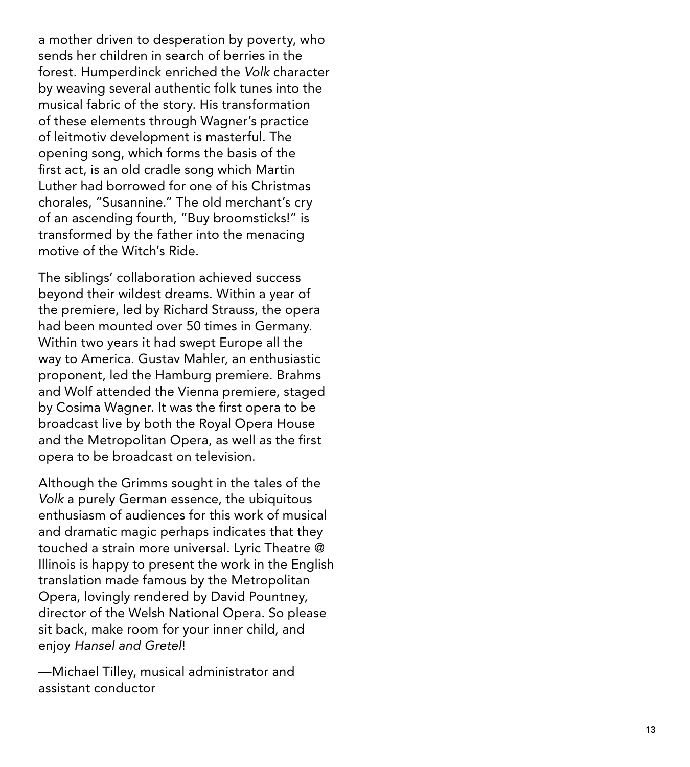a mother driven to desperation by poverty, who sends her children in search of berries in the forest. Humperdinck enriched the *Volk* character by weaving several authentic folk tunes into the musical fabric of the story. His transformation of these elements through Wagner's practice of leitmotiv development is masterful. The opening song, which forms the basis of the first act, is an old cradle song which Martin Luther had borrowed for one of his Christmas chorales, "Susannine." The old merchant's cry of an ascending fourth, "Buy broomsticks!" is transformed by the father into the menacing motive of the Witch's Ride.

The siblings' collaboration achieved success beyond their wildest dreams. Within a year of the premiere, led by Richard Strauss, the opera had been mounted over 50 times in Germany. Within two years it had swept Europe all the way to America. Gustav Mahler, an enthusiastic proponent, led the Hamburg premiere. Brahms and Wolf attended the Vienna premiere, staged by Cosima Wagner. It was the first opera to be broadcast live by both the Royal Opera House and the Metropolitan Opera, as well as the first opera to be broadcast on television.

Although the Grimms sought in the tales of the *Volk* a purely German essence, the ubiquitous enthusiasm of audiences for this work of musical and dramatic magic perhaps indicates that they touched a strain more universal. Lyric Theatre @ Illinois is happy to present the work in the English translation made famous by the Metropolitan Opera, lovingly rendered by David Pountney, director of the Welsh National Opera. So please sit back, make room for your inner child, and enjoy *Hansel and Gretel* !

—Michael Tilley, musical administrator and assistant conductor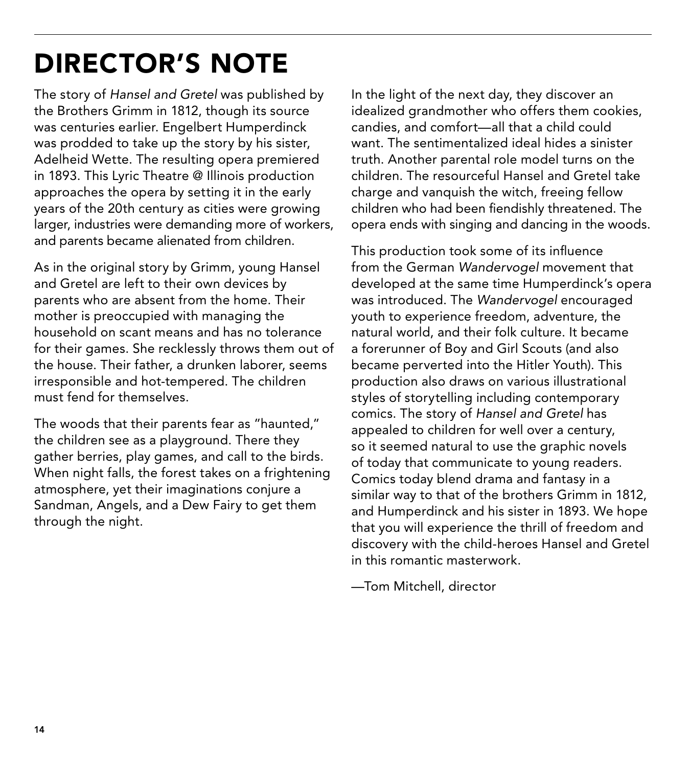# DIRECTOR'S NOTE

The story of *Hansel and Gretel* was published by the Brothers Grimm in 1812, though its source was centuries earlier. Engelbert Humperdinck was prodded to take up the story by his sister, Adelheid Wette. The resulting opera premiered in 1893. This Lyric Theatre @ Illinois production approaches the opera by setting it in the early years of the 20th century as cities were growing larger, industries were demanding more of workers, and parents became alienated from children.

As in the original story by Grimm, young Hansel and Gretel are left to their own devices by parents who are absent from the home. Their mother is preoccupied with managing the household on scant means and has no tolerance for their games. She recklessly throws them out of the house. Their father, a drunken laborer, seems irresponsible and hot-tempered. The children must fend for themselves.

The woods that their parents fear as "haunted," the children see as a playground. There they gather berries, play games, and call to the birds. When night falls, the forest takes on a frightening atmosphere, yet their imaginations conjure a Sandman, Angels, and a Dew Fairy to get them through the night.

In the light of the next day, they discover an idealized grandmother who offers them cookies, candies, and comfort—all that a child could want. The sentimentalized ideal hides a sinister truth. Another parental role model turns on the children. The resourceful Hansel and Gretel take charge and vanquish the witch, freeing fellow children who had been fiendishly threatened. The opera ends with singing and dancing in the woods.

This production took some of its influence from the German *Wandervogel* movement that developed at the same time Humperdinck's opera was introduced. The *Wandervogel* encouraged youth to experience freedom, adventure, the natural world, and their folk culture. It became a forerunner of Boy and Girl Scouts (and also became perverted into the Hitler Youth). This production also draws on various illustrational styles of storytelling including contemporary comics. The story of *Hansel and Gretel* has appealed to children for well over a century, so it seemed natural to use the graphic novels of today that communicate to young readers. Comics today blend drama and fantasy in a similar way to that of the brothers Grimm in 1812, and Humperdinck and his sister in 1893. We hope that you will experience the thrill of freedom and discovery with the child-heroes Hansel and Gretel in this romantic masterwork.

—Tom Mitchell, director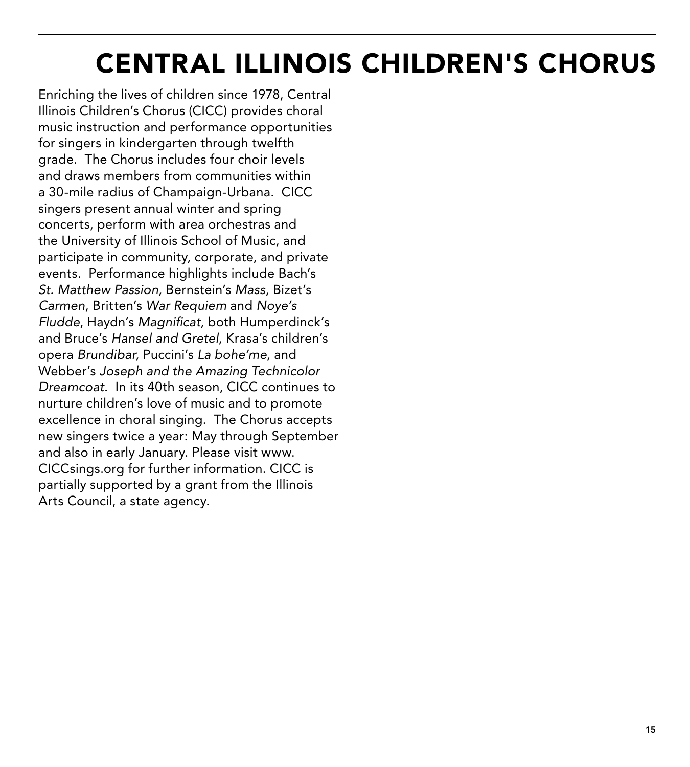# CENTRAL ILLINOIS CHILDREN'S CHORUS

Enriching the lives of children since 1978, Central Illinois Children's Chorus (CICC) provides choral music instruction and performance opportunities for singers in kindergarten through twelfth grade. The Chorus includes four choir levels and draws members from communities within a 30-mile radius of Champaign-Urbana. CICC singers present annual winter and spring concerts, perform with area orchestras and the University of Illinois School of Music, and participate in community, corporate, and private events. Performance highlights include Bach's *St. Matthew Passion*, Bernstein's *Mass*, Bizet's *Carmen*, Britten's *War Requiem* and *Noye's Fludde*, Haydn's *Magnificat*, both Humperdinck's and Bruce's *Hansel and Gretel*, Krasa's children's opera *Brundibar*, Puccini's *La bohe'me*, and Webber's *Joseph and the Amazing Technicolor Dreamcoat*. In its 40th season, CICC continues to nurture children's love of music and to promote excellence in choral singing. The Chorus accepts new singers twice a year: May through September and also in early January. Please visit www. CICCsings.org for further information. CICC is partially supported by a grant from the Illinois Arts Council, a state agency.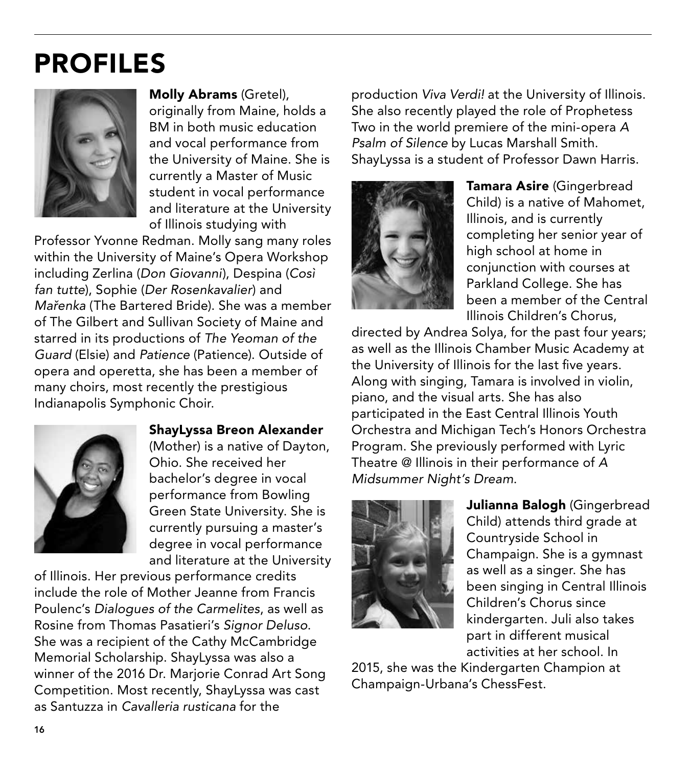# PROFILES



Molly Abrams (Gretel), originally from Maine, holds a BM in both music education and vocal performance from the University of Maine. She is currently a Master of Music student in vocal performance and literature at the University of Illinois studying with

Professor Yvonne Redman. Molly sang many roles within the University of Maine's Opera Workshop including Zerlina (*Don Giovanni*), Despina (*Così fan tutte*), Sophie (*Der Rosenkavalier*) and *Mařenka* (The Bartered Bride). She was a member of The Gilbert and Sullivan Society of Maine and starred in its productions of *The Yeoman of the Guard* (Elsie) and *Patience* (Patience). Outside of opera and operetta, she has been a member of many choirs, most recently the prestigious Indianapolis Symphonic Choir.



#### ShayLyssa Breon Alexander

(Mother) is a native of Dayton, Ohio. She received her bachelor's degree in vocal performance from Bowling Green State University. She is currently pursuing a master's degree in vocal performance and literature at the University

of Illinois. Her previous performance credits include the role of Mother Jeanne from Francis Poulenc's *Dialogues of the Carmelites*, as well as Rosine from Thomas Pasatieri's *Signor Deluso*. She was a recipient of the Cathy McCambridge Memorial Scholarship. ShayLyssa was also a winner of the 2016 Dr. Marjorie Conrad Art Song Competition. Most recently, ShayLyssa was cast as Santuzza in *Cavalleria rusticana* for the

production *Viva Verdi!* at the University of Illinois. She also recently played the role of Prophetess Two in the world premiere of the mini-opera *A Psalm of Silence* by Lucas Marshall Smith. ShayLyssa is a student of Professor Dawn Harris.



Tamara Asire (Gingerbread Child) is a native of Mahomet, Illinois, and is currently completing her senior year of high school at home in conjunction with courses at Parkland College. She has been a member of the Central Illinois Children's Chorus,

directed by Andrea Solya, for the past four years; as well as the Illinois Chamber Music Academy at the University of Illinois for the last five years. Along with singing, Tamara is involved in violin, piano, and the visual arts. She has also participated in the East Central Illinois Youth Orchestra and Michigan Tech's Honors Orchestra Program. She previously performed with Lyric Theatre @ Illinois in their performance of *A Midsummer Night's Dream*.



Julianna Balogh (Gingerbread Child) attends third grade at Countryside School in Champaign. She is a gymnast as well as a singer. She has been singing in Central Illinois Children's Chorus since kindergarten. Juli also takes part in different musical activities at her school. In

2015, she was the Kindergarten Champion at Champaign-Urbana's ChessFest.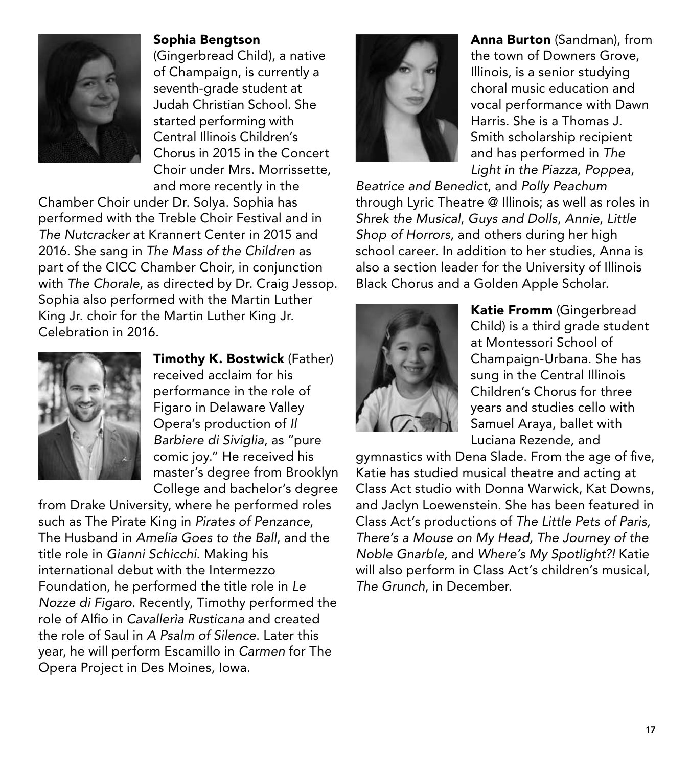

Sophia Bengtson (Gingerbread Child), a native of Champaign, is currently a seventh-grade student at Judah Christian School. She started performing with Central Illinois Children's Chorus in 2015 in the Concert Choir under Mrs. Morrissette, and more recently in the

Chamber Choir under Dr. Solya. Sophia has performed with the Treble Choir Festival and in *The Nutcracker* at Krannert Center in 2015 and 2016. She sang in *The Mass of the Children* as part of the CICC Chamber Choir, in conjunction with *The Chorale*, as directed by Dr. Craig Jessop. Sophia also performed with the Martin Luther King Jr. choir for the Martin Luther King Jr. Celebration in 2016.



**Timothy K. Bostwick** (Father) received acclaim for his performance in the role of Figaro in Delaware Valley Opera's production of *Il Barbiere di Siviglia*, as "pure comic joy." He received his master's degree from Brooklyn College and bachelor's degree

from Drake University, where he performed roles such as The Pirate King in *Pirates of Penzance*, The Husband in *Amelia Goes to the Ball*, and the title role in *Gianni Schicchi*. Making his international debut with the Intermezzo Foundation, he performed the title role in *Le Nozze di Figaro*. Recently, Timothy performed the role of Alfio in *Cavallerìa Rusticana* and created the role of Saul in *A Psalm of Silence*. Later this year, he will perform Escamillo in *Carmen* for The Opera Project in Des Moines, Iowa.



Anna Burton (Sandman), from the town of Downers Grove, Illinois, is a senior studying choral music education and vocal performance with Dawn Harris. She is a Thomas J. Smith scholarship recipient and has performed in *The Light in the Piazza*, *Poppea*,

*Beatrice and Benedict*, and *Polly Peachum*  through Lyric Theatre @ Illinois; as well as roles in *Shrek the Musical*, *Guys and Dolls*, *Annie*, *Little Shop of Horrors,* and others during her high school career. In addition to her studies, Anna is also a section leader for the University of Illinois Black Chorus and a Golden Apple Scholar.



Katie Fromm (Gingerbread Child) is a third grade student at Montessori School of Champaign-Urbana. She has sung in the Central Illinois Children's Chorus for three years and studies cello with Samuel Araya, ballet with Luciana Rezende, and

gymnastics with Dena Slade. From the age of five, Katie has studied musical theatre and acting at Class Act studio with Donna Warwick, Kat Downs, and Jaclyn Loewenstein. She has been featured in Class Act's productions of *The Little Pets of Paris, There's a Mouse on My Head, The Journey of the Noble Gnarble,* and *Where's My Spotlight?!* Katie will also perform in Class Act's children's musical, *The Grunch*, in December.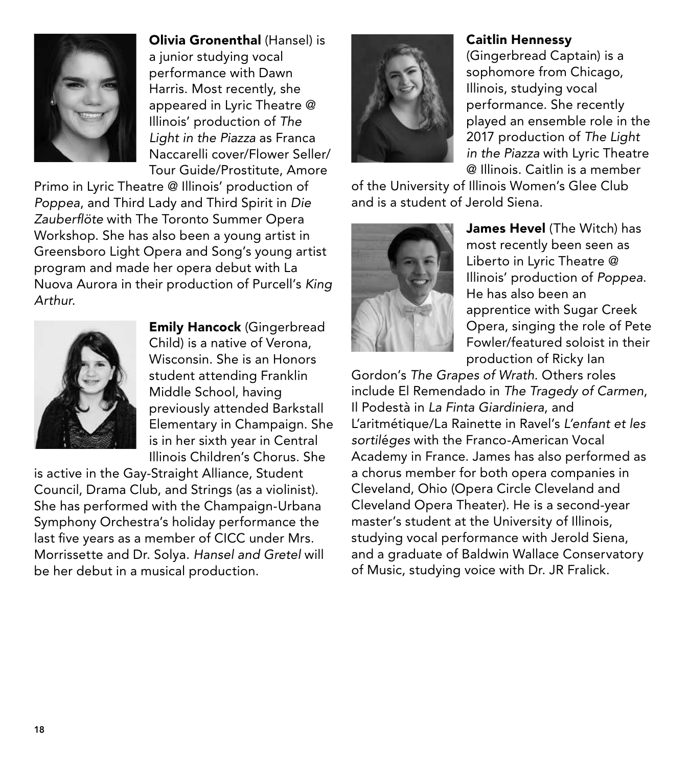

Olivia Gronenthal (Hansel) is a junior studying vocal performance with Dawn Harris. Most recently, she appeared in Lyric Theatre @ Illinois' production of *The Light in the Piazza* as Franca Naccarelli cover/Flower Seller/ Tour Guide/Prostitute, Amore

Primo in Lyric Theatre @ Illinois' production of *Poppea*, and Third Lady and Third Spirit in *Die Zauberflöte* with The Toronto Summer Opera Workshop. She has also been a young artist in Greensboro Light Opera and Song's young artist program and made her opera debut with La Nuova Aurora in their production of Purcell's *King Arthur*.



Emily Hancock (Gingerbread Child) is a native of Verona, Wisconsin. She is an Honors student attending Franklin Middle School, having previously attended Barkstall Elementary in Champaign. She is in her sixth year in Central Illinois Children's Chorus. She

is active in the Gay-Straight Alliance, Student Council, Drama Club, and Strings (as a violinist). She has performed with the Champaign-Urbana Symphony Orchestra's holiday performance the last five years as a member of CICC under Mrs. Morrissette and Dr. Solya. *Hansel and Gretel* will be her debut in a musical production.

### Caitlin Hennessy

(Gingerbread Captain) is a sophomore from Chicago, Illinois, studying vocal performance. She recently played an ensemble role in the 2017 production of *The Light in the Piazza* with Lyric Theatre @ Illinois. Caitlin is a member

of the University of Illinois Women's Glee Club and is a student of Jerold Siena.



James Hevel (The Witch) has most recently been seen as Liberto in Lyric Theatre @ Illinois' production of *Poppea*. He has also been an apprentice with Sugar Creek Opera, singing the role of Pete Fowler/featured soloist in their production of Ricky Ian

Gordon's *The Grapes of Wrath*. Others roles include El Remendado in *The Tragedy of Carmen*, Il Podestà in *La Finta Giardiniera*, and L'aritmétique/La Rainette in Ravel's *L'enfant et les sortil*é*ges* with the Franco-American Vocal Academy in France. James has also performed as a chorus member for both opera companies in Cleveland, Ohio (Opera Circle Cleveland and Cleveland Opera Theater). He is a second-year master's student at the University of Illinois, studying vocal performance with Jerold Siena, and a graduate of Baldwin Wallace Conservatory of Music, studying voice with Dr. JR Fralick.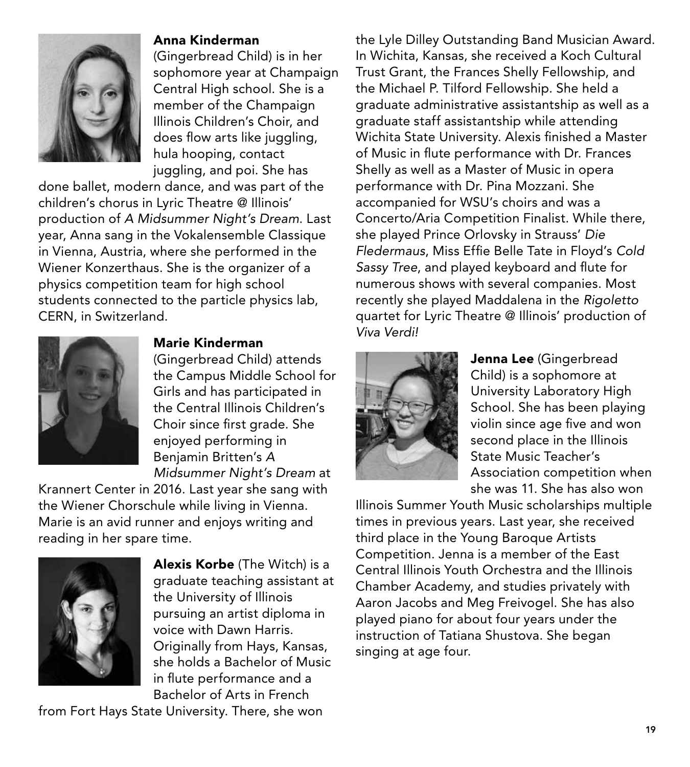

#### Anna Kinderman

(Gingerbread Child) is in her sophomore year at Champaign Central High school. She is a member of the Champaign Illinois Children's Choir, and does flow arts like juggling, hula hooping, contact juggling, and poi. She has

done ballet, modern dance, and was part of the children's chorus in Lyric Theatre @ Illinois' production of *A Midsummer Night's Dream*. Last year, Anna sang in the Vokalensemble Classique in Vienna, Austria, where she performed in the Wiener Konzerthaus. She is the organizer of a physics competition team for high school students connected to the particle physics lab, CERN, in Switzerland.



Marie Kinderman

(Gingerbread Child) attends the Campus Middle School for Girls and has participated in the Central Illinois Children's Choir since first grade. She enjoyed performing in Benjamin Britten's *A Midsummer Night's Dream* at

Krannert Center in 2016. Last year she sang with the Wiener Chorschule while living in Vienna. Marie is an avid runner and enjoys writing and reading in her spare time.



Alexis Korbe (The Witch) is a graduate teaching assistant at the University of Illinois pursuing an artist diploma in voice with Dawn Harris. Originally from Hays, Kansas, she holds a Bachelor of Music in flute performance and a Bachelor of Arts in French

from Fort Hays State University. There, she won

the Lyle Dilley Outstanding Band Musician Award. In Wichita, Kansas, she received a Koch Cultural Trust Grant, the Frances Shelly Fellowship, and the Michael P. Tilford Fellowship. She held a graduate administrative assistantship as well as a graduate staff assistantship while attending Wichita State University. Alexis finished a Master of Music in flute performance with Dr. Frances Shelly as well as a Master of Music in opera performance with Dr. Pina Mozzani. She accompanied for WSU's choirs and was a Concerto/Aria Competition Finalist. While there, she played Prince Orlovsky in Strauss' *Die Fledermaus*, Miss Effie Belle Tate in Floyd's *Cold Sassy Tree*, and played keyboard and flute for numerous shows with several companies. Most recently she played Maddalena in the *Rigoletto* quartet for Lyric Theatre @ Illinois' production of *Viva Verdi!*



Jenna Lee (Gingerbread Child) is a sophomore at University Laboratory High School. She has been playing violin since age five and won second place in the Illinois State Music Teacher's Association competition when she was 11. She has also won

Illinois Summer Youth Music scholarships multiple times in previous years. Last year, she received third place in the Young Baroque Artists Competition. Jenna is a member of the East Central Illinois Youth Orchestra and the Illinois Chamber Academy, and studies privately with Aaron Jacobs and Meg Freivogel. She has also played piano for about four years under the instruction of Tatiana Shustova. She began singing at age four.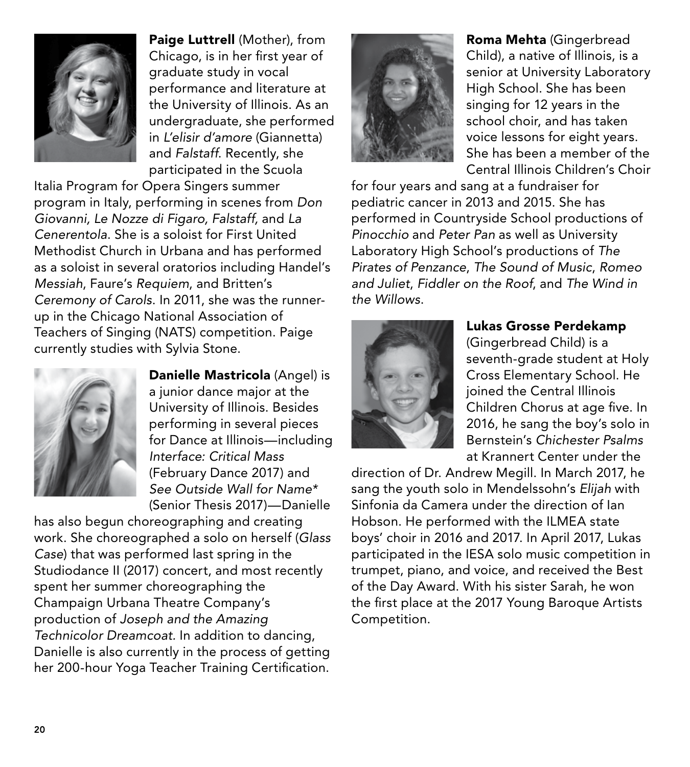

Paige Luttrell (Mother), from Chicago, is in her first year of graduate study in vocal performance and literature at the University of Illinois. As an undergraduate, she performed in *L'elisir d'amore* (Giannetta) and *Falstaff*. Recently, she participated in the Scuola

Italia Program for Opera Singers summer program in Italy, performing in scenes from *Don Giovanni, Le Nozze di Figaro, Falstaff,* and *La Cenerentola*. She is a soloist for First United Methodist Church in Urbana and has performed as a soloist in several oratorios including Handel's *Messiah*, Faure's *Requiem*, and Britten's *Ceremony of Carols*. In 2011, she was the runnerup in the Chicago National Association of Teachers of Singing (NATS) competition. Paige currently studies with Sylvia Stone.



Danielle Mastricola (Angel) is a junior dance major at the University of Illinois. Besides performing in several pieces for Dance at Illinois—including *Interface: Critical Mass* (February Dance 2017) and *See Outside Wall for Name\**  (Senior Thesis 2017)—Danielle

has also begun choreographing and creating work. She choreographed a solo on herself (*Glass Case*) that was performed last spring in the Studiodance II (2017) concert, and most recently spent her summer choreographing the Champaign Urbana Theatre Company's production of *Joseph and the Amazing Technicolor Dreamcoat.* In addition to dancing, Danielle is also currently in the process of getting her 200-hour Yoga Teacher Training Certification.



Roma Mehta (Gingerbread Child), a native of Illinois, is a senior at University Laboratory High School. She has been singing for 12 years in the school choir, and has taken voice lessons for eight years. She has been a member of the Central Illinois Children's Choir

for four years and sang at a fundraiser for pediatric cancer in 2013 and 2015. She has performed in Countryside School productions of *Pinocchio* and *Peter Pan* as well as University Laboratory High School's productions of *The Pirates of Penzance*, *The Sound of Music*, *Romeo and Juliet*, *Fiddler on the Roof*, and *The Wind in the Willows*.



### Lukas Grosse Perdekamp

(Gingerbread Child) is a seventh-grade student at Holy Cross Elementary School. He joined the Central Illinois Children Chorus at age five. In 2016, he sang the boy's solo in Bernstein's *Chichester Psalms* at Krannert Center under the

direction of Dr. Andrew Megill. In March 2017, he sang the youth solo in Mendelssohn's *Elijah* with Sinfonia da Camera under the direction of Ian Hobson. He performed with the ILMEA state boys' choir in 2016 and 2017. In April 2017, Lukas participated in the IESA solo music competition in trumpet, piano, and voice, and received the Best of the Day Award. With his sister Sarah, he won the first place at the 2017 Young Baroque Artists Competition.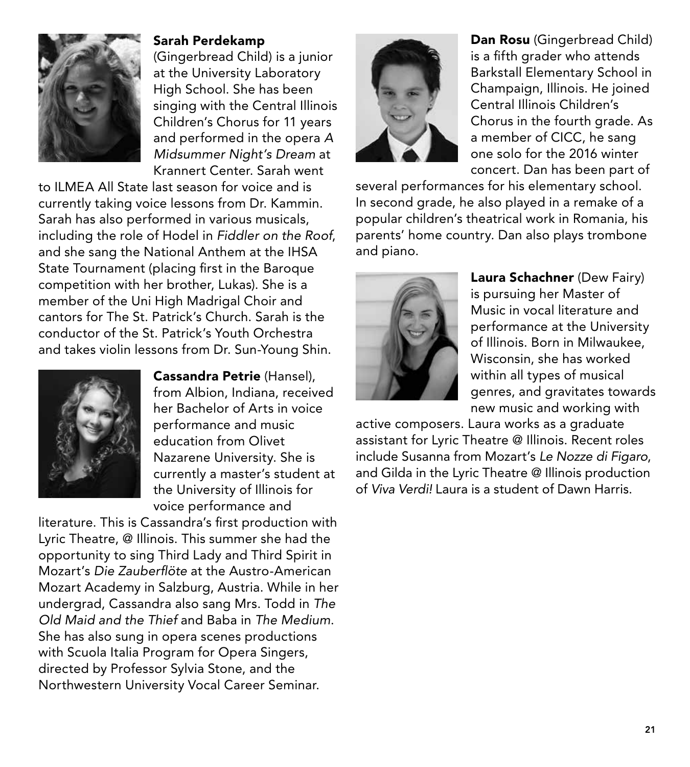

Sarah Perdekamp

(Gingerbread Child) is a junior at the University Laboratory High School. She has been singing with the Central Illinois Children's Chorus for 11 years and performed in the opera *A Midsummer Night's Dream* at Krannert Center. Sarah went

to ILMEA All State last season for voice and is currently taking voice lessons from Dr. Kammin. Sarah has also performed in various musicals, including the role of Hodel in *Fiddler on the Roof*, and she sang the National Anthem at the IHSA State Tournament (placing first in the Baroque competition with her brother, Lukas). She is a member of the Uni High Madrigal Choir and cantors for The St. Patrick's Church. Sarah is the conductor of the St. Patrick's Youth Orchestra and takes violin lessons from Dr. Sun-Young Shin.



Cassandra Petrie (Hansel), from Albion, Indiana, received her Bachelor of Arts in voice performance and music education from Olivet Nazarene University. She is currently a master's student at the University of Illinois for voice performance and

literature. This is Cassandra's first production with Lyric Theatre, @ Illinois. This summer she had the opportunity to sing Third Lady and Third Spirit in Mozart's *Die Zauberflöte* at the Austro-American Mozart Academy in Salzburg, Austria. While in her undergrad, Cassandra also sang Mrs. Todd in *The Old Maid and the Thief* and Baba in *The Medium*. She has also sung in opera scenes productions with Scuola Italia Program for Opera Singers, directed by Professor Sylvia Stone, and the Northwestern University Vocal Career Seminar.



Dan Rosu (Gingerbread Child) is a fifth grader who attends Barkstall Elementary School in Champaign, Illinois. He joined Central Illinois Children's Chorus in the fourth grade. As a member of CICC, he sang one solo for the 2016 winter concert. Dan has been part of

several performances for his elementary school. In second grade, he also played in a remake of a popular children's theatrical work in Romania, his parents' home country. Dan also plays trombone and piano.



Laura Schachner (Dew Fairy) is pursuing her Master of Music in vocal literature and performance at the University of Illinois. Born in Milwaukee, Wisconsin, she has worked within all types of musical genres, and gravitates towards new music and working with

active composers. Laura works as a graduate assistant for Lyric Theatre @ Illinois. Recent roles include Susanna from Mozart's *Le Nozze di Figaro*, and Gilda in the Lyric Theatre @ Illinois production of *Viva Verdi!* Laura is a student of Dawn Harris.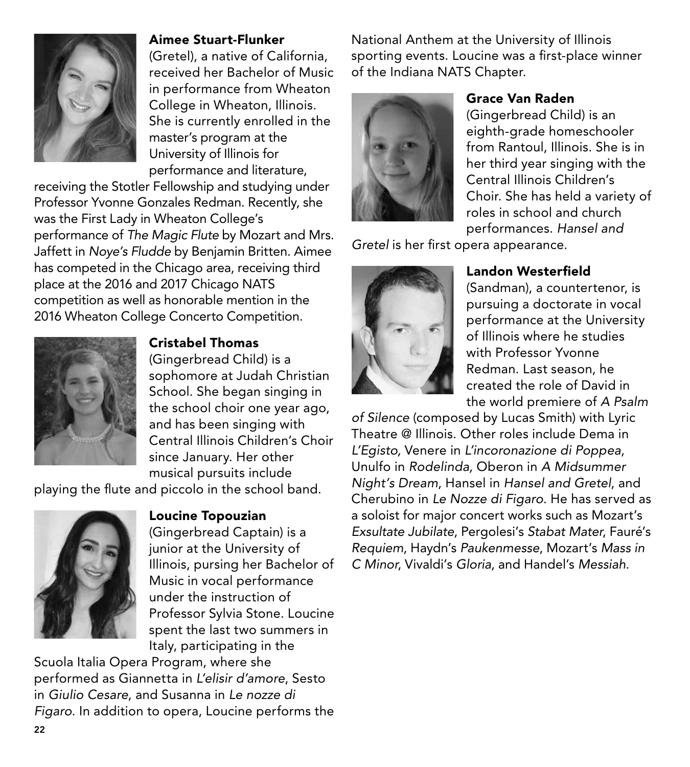

### Aimee Stuart-Flunker

(Gretel), a native of California, received her Bachelor of Music in performance from Wheaton College in Wheaton, Illinois. She is currently enrolled in the master's program at the University of Illinois for performance and literature,

receiving the Stotler Fellowship and studying under Professor Yvonne Gonzales Redman. Recently, she was the First Lady in Wheaton College's performance of *The Magic Flute* by Mozart and Mrs. Jaffett in *Noye's Fludde* by Benjamin Britten. Aimee has competed in the Chicago area, receiving third place at the 2016 and 2017 Chicago NATS competition as well as honorable mention in the 2016 Wheaton College Concerto Competition.



### Cristabel Thomas

(Gingerbread Child) is a sophomore at Judah Christian School. She began singing in the school choir one year ago, and has been singing with Central Illinois Children's Choir since January. Her other musical pursuits include

playing the flute and piccolo in the school band.



Loucine Topouzian

(Gingerbread Captain) is a junior at the University of Illinois, pursing her Bachelor of Music in vocal performance under the instruction of Professor Sylvia Stone. Loucine spent the last two summers in Italy, participating in the

Scuola Italia Opera Program, where she performed as Giannetta in *L'elisir d'amore*, Sesto in *Giulio Cesare*, and Susanna in *Le nozze di Figaro*. In addition to opera, Loucine performs the National Anthem at the University of Illinois sporting events. Loucine was a first-place winner of the Indiana NATS Chapter.



#### Grace Van Raden

(Gingerbread Child) is an eighth-grade homeschooler from Rantoul, Illinois. She is in her third year singing with the Central Illinois Children's Choir. She has held a variety of roles in school and church performances. *Hansel and* 

*Gretel* is her first opera appearance.



### Landon Westerfield

(Sandman), a countertenor, is pursuing a doctorate in vocal performance at the University of Illinois where he studies with Professor Yvonne Redman. Last season, he created the role of David in the world premiere of *A Psalm* 

*of Silence* (composed by Lucas Smith) with Lyric Theatre @ Illinois. Other roles include Dema in *L'Egisto,* Venere in *L'incoronazione di Poppea*, Unulfo in *Rodelinda,* Oberon in *A Midsummer Night's Dream*, Hansel in *Hansel and Gretel*, and Cherubino in *Le Nozze di Figaro*. He has served as a soloist for major concert works such as Mozart's *Exsultate Jubilate*, Pergolesi's *Stabat Mater*, Fauré's *Requiem*, Haydn's *Paukenmesse*, Mozart's *Mass in C Minor*, Vivaldi's *Gloria*, and Handel's *Messiah*.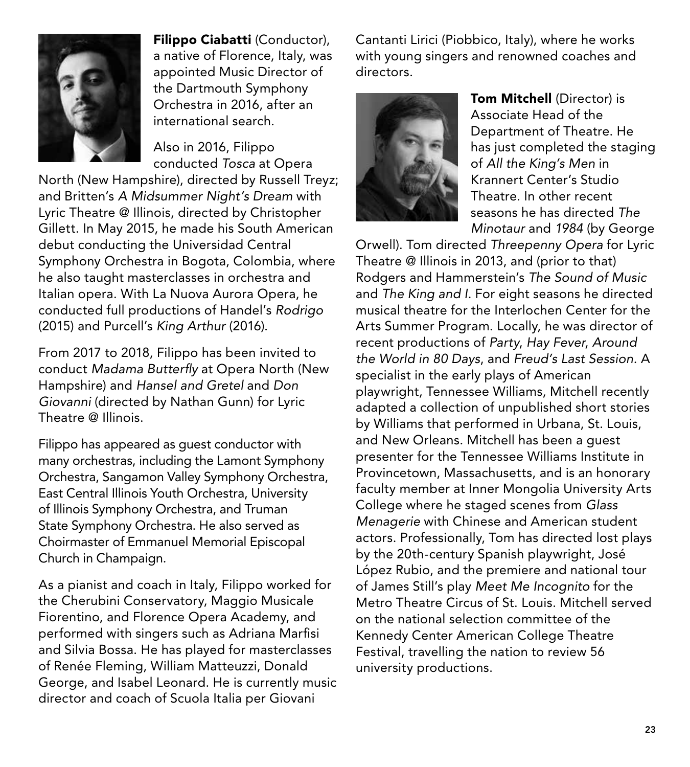

Filippo Ciabatti (Conductor), a native of Florence, Italy, was appointed Music Director of the Dartmouth Symphony Orchestra in 2016, after an international search.

Also in 2016, Filippo conducted *Tosca* at Opera

North (New Hampshire), directed by Russell Treyz; and Britten's *A Midsummer Night's Dream* with Lyric Theatre @ Illinois, directed by Christopher Gillett. In May 2015, he made his South American debut conducting the Universidad Central Symphony Orchestra in Bogota, Colombia, where he also taught masterclasses in orchestra and Italian opera. With La Nuova Aurora Opera, he conducted full productions of Handel's *Rodrigo* (2015) and Purcell's *King Arthur* (2016).

From 2017 to 2018, Filippo has been invited to conduct *Madama Butterfly* at Opera North (New Hampshire) and *Hansel and Gretel* and *Don Giovanni* (directed by Nathan Gunn) for Lyric Theatre @ Illinois.

Filippo has appeared as guest conductor with many orchestras, including the Lamont Symphony Orchestra, Sangamon Valley Symphony Orchestra, East Central Illinois Youth Orchestra, University of Illinois Symphony Orchestra, and Truman State Symphony Orchestra. He also served as Choirmaster of Emmanuel Memorial Episcopal Church in Champaign.

As a pianist and coach in Italy, Filippo worked for the Cherubini Conservatory, Maggio Musicale Fiorentino, and Florence Opera Academy, and performed with singers such as Adriana Marfisi and Silvia Bossa. He has played for masterclasses of Renée Fleming, William Matteuzzi, Donald George, and Isabel Leonard. He is currently music director and coach of Scuola Italia per Giovani

Cantanti Lirici (Piobbico, Italy), where he works with young singers and renowned coaches and directors.



Tom Mitchell (Director) is Associate Head of the Department of Theatre. He has just completed the staging of *All the King's Men* in Krannert Center's Studio Theatre. In other recent seasons he has directed *The Minotaur* and *1984* (by George

Orwell). Tom directed *Threepenny Opera* for Lyric Theatre @ Illinois in 2013, and (prior to that) Rodgers and Hammerstein's *The Sound of Music*  and *The King and I.* For eight seasons he directed musical theatre for the Interlochen Center for the Arts Summer Program. Locally, he was director of recent productions of *Party*, *Hay Fever*, *Around the World in 80 Days*, and *Freud's Last Session*. A specialist in the early plays of American playwright, Tennessee Williams, Mitchell recently adapted a collection of unpublished short stories by Williams that performed in Urbana, St. Louis, and New Orleans. Mitchell has been a guest presenter for the Tennessee Williams Institute in Provincetown, Massachusetts, and is an honorary faculty member at Inner Mongolia University Arts College where he staged scenes from *Glass Menagerie* with Chinese and American student actors. Professionally, Tom has directed lost plays by the 20th-century Spanish playwright, José López Rubio, and the premiere and national tour of James Still's play *Meet Me Incognito* for the Metro Theatre Circus of St. Louis. Mitchell served on the national selection committee of the Kennedy Center American College Theatre Festival, travelling the nation to review 56 university productions.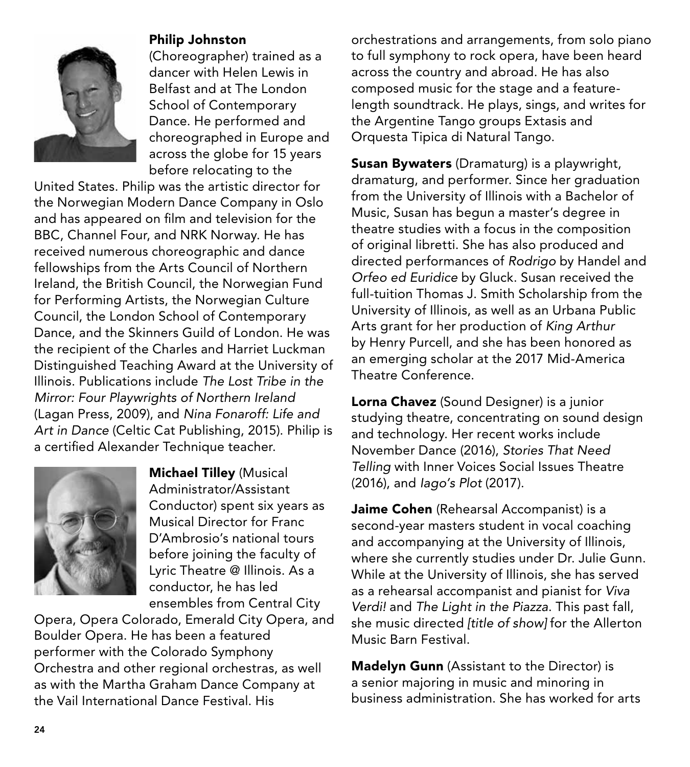

### Philip Johnston

(Choreographer) trained as a dancer with Helen Lewis in Belfast and at The London School of Contemporary Dance. He performed and choreographed in Europe and across the globe for 15 years before relocating to the

United States. Philip was the artistic director for the Norwegian Modern Dance Company in Oslo and has appeared on film and television for the BBC, Channel Four, and NRK Norway. He has received numerous choreographic and dance fellowships from the Arts Council of Northern Ireland, the British Council, the Norwegian Fund for Performing Artists, the Norwegian Culture Council, the London School of Contemporary Dance, and the Skinners Guild of London. He was the recipient of the Charles and Harriet Luckman Distinguished Teaching Award at the University of Illinois. Publications include *The Lost Tribe in the Mirror: Four Playwrights of Northern Ireland* (Lagan Press, 2009), and *Nina Fonaroff: Life and Art in Dance* (Celtic Cat Publishing, 2015). Philip is a certified Alexander Technique teacher.



Michael Tilley (Musical Administrator/Assistant Conductor) spent six years as Musical Director for Franc D'Ambrosio's national tours before joining the faculty of Lyric Theatre @ Illinois. As a conductor, he has led ensembles from Central City

Opera, Opera Colorado, Emerald City Opera, and Boulder Opera. He has been a featured performer with the Colorado Symphony Orchestra and other regional orchestras, as well as with the Martha Graham Dance Company at the Vail International Dance Festival. His

orchestrations and arrangements, from solo piano to full symphony to rock opera, have been heard across the country and abroad. He has also composed music for the stage and a featurelength soundtrack. He plays, sings, and writes for the Argentine Tango groups Extasis and Orquesta Tipica di Natural Tango.

**Susan Bywaters** (Dramaturg) is a playwright, dramaturg, and performer. Since her graduation from the University of Illinois with a Bachelor of Music, Susan has begun a master's degree in theatre studies with a focus in the composition of original libretti. She has also produced and directed performances of *Rodrigo* by Handel and *Orfeo ed Euridice* by Gluck. Susan received the full-tuition Thomas J. Smith Scholarship from the University of Illinois, as well as an Urbana Public Arts grant for her production of *King Arthur* by Henry Purcell, and she has been honored as an emerging scholar at the 2017 Mid-America Theatre Conference.

Lorna Chavez (Sound Designer) is a junior studying theatre, concentrating on sound design and technology. Her recent works include November Dance (2016), *Stories That Need Telling* with Inner Voices Social Issues Theatre (2016), and *Iago's Plot* (2017).

Jaime Cohen (Rehearsal Accompanist) is a second-year masters student in vocal coaching and accompanying at the University of Illinois, where she currently studies under Dr. Julie Gunn. While at the University of Illinois, she has served as a rehearsal accompanist and pianist for *Viva Verdi!* and *The Light in the Piazza*. This past fall, she music directed *[title of show]* for the Allerton Music Barn Festival.

Madelyn Gunn (Assistant to the Director) is a senior majoring in music and minoring in business administration. She has worked for arts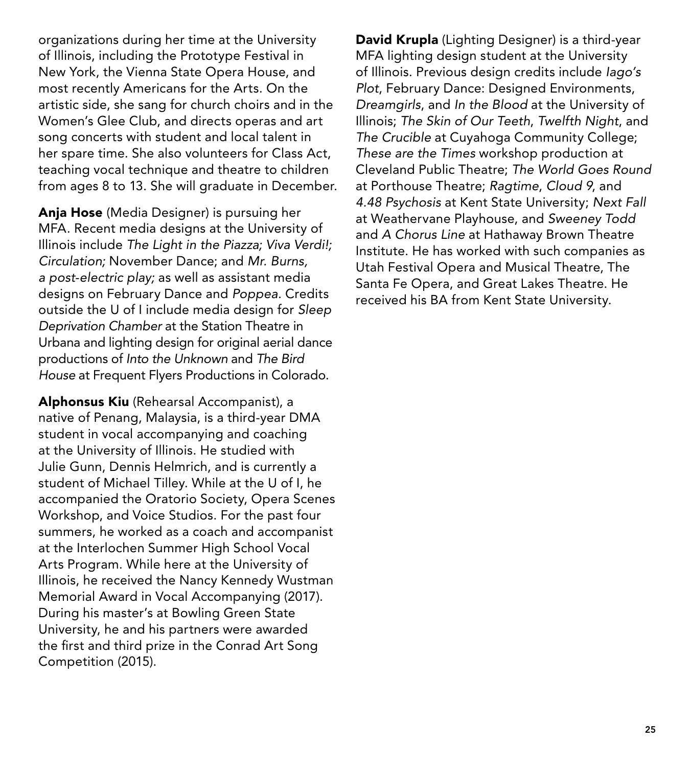organizations during her time at the University of Illinois, including the Prototype Festival in New York, the Vienna State Opera House, and most recently Americans for the Arts. On the artistic side, she sang for church choirs and in the Women's Glee Club, and directs operas and art song concerts with student and local talent in her spare time. She also volunteers for Class Act, teaching vocal technique and theatre to children from ages 8 to 13. She will graduate in December.

Anja Hose (Media Designer) is pursuing her MFA. Recent media designs at the University of Illinois include *The Light in the Piazza; Viva Verdi!; Circulation;* November Dance; and *Mr. Burns, a post-electric play;* as well as assistant media designs on February Dance and *Poppea.* Credits outside the U of I include media design for *Sleep Deprivation Chamber* at the Station Theatre in Urbana and lighting design for original aerial dance productions of *Into the Unknown* and *The Bird House* at Frequent Flyers Productions in Colorado.

Alphonsus Kiu (Rehearsal Accompanist), a native of Penang, Malaysia, is a third-year DMA student in vocal accompanying and coaching at the University of Illinois. He studied with Julie Gunn, Dennis Helmrich, and is currently a student of Michael Tilley. While at the U of I, he accompanied the Oratorio Society, Opera Scenes Workshop, and Voice Studios. For the past four summers, he worked as a coach and accompanist at the Interlochen Summer High School Vocal Arts Program. While here at the University of Illinois, he received the Nancy Kennedy Wustman Memorial Award in Vocal Accompanying (2017). During his master's at Bowling Green State University, he and his partners were awarded the first and third prize in the Conrad Art Song Competition (2015).

David Krupla (Lighting Designer) is a third-year MFA lighting design student at the University of Illinois. Previous design credits include *Iago's Plot*, February Dance: Designed Environments, *Dreamgirls*, and *In the Blood* at the University of Illinois; *The Skin of Our Teeth*, *Twelfth Night*, and *The Crucible* at Cuyahoga Community College; *These are the Times* workshop production at Cleveland Public Theatre; *The World Goes Round* at Porthouse Theatre; *Ragtime*, *Cloud 9*, and *4.48 Psychosis* at Kent State University; *Next Fall* at Weathervane Playhouse, and *Sweeney Todd* and *A Chorus Line* at Hathaway Brown Theatre Institute. He has worked with such companies as Utah Festival Opera and Musical Theatre, The Santa Fe Opera, and Great Lakes Theatre. He received his BA from Kent State University.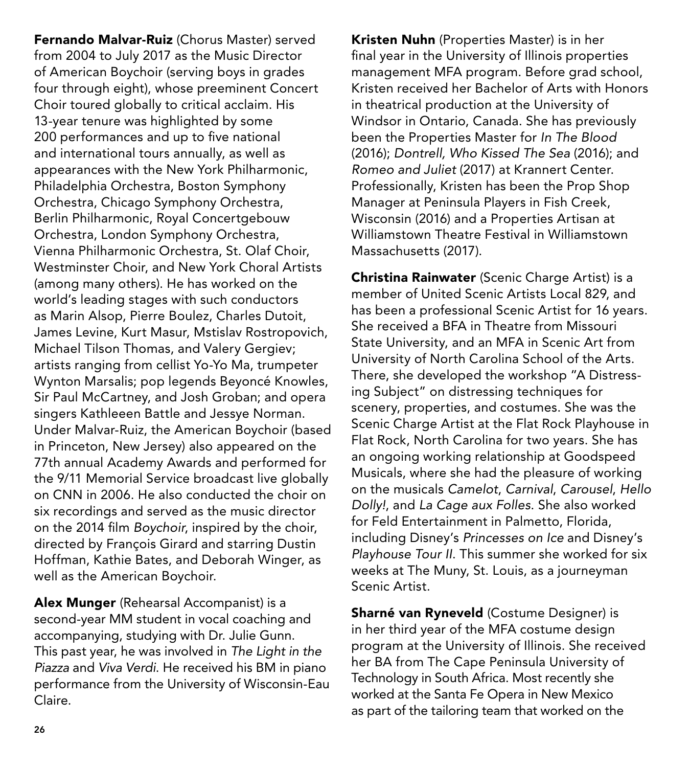Fernando Malvar-Ruiz (Chorus Master) served from 2004 to July 2017 as the Music Director of American Boychoir (serving boys in grades four through eight), whose preeminent Concert Choir toured globally to critical acclaim. His 13-year tenure was highlighted by some 200 performances and up to five national and international tours annually, as well as appearances with the New York Philharmonic, Philadelphia Orchestra, Boston Symphony Orchestra, Chicago Symphony Orchestra, Berlin Philharmonic, Royal Concertgebouw Orchestra, London Symphony Orchestra, Vienna Philharmonic Orchestra, St. Olaf Choir, Westminster Choir, and New York Choral Artists (among many others). He has worked on the world's leading stages with such conductors as Marin Alsop, Pierre Boulez, Charles Dutoit, James Levine, Kurt Masur, Mstislav Rostropovich, Michael Tilson Thomas, and Valery Gergiev; artists ranging from cellist Yo-Yo Ma, trumpeter Wynton Marsalis; pop legends Beyoncé Knowles, Sir Paul McCartney, and Josh Groban; and opera singers Kathleeen Battle and Jessye Norman. Under Malvar-Ruiz, the American Boychoir (based in Princeton, New Jersey) also appeared on the 77th annual Academy Awards and performed for the 9/11 Memorial Service broadcast live globally on CNN in 2006. He also conducted the choir on six recordings and served as the music director on the 2014 film *Boychoir*, inspired by the choir, directed by François Girard and starring Dustin Hoffman, Kathie Bates, and Deborah Winger, as well as the American Boychoir.

Alex Munger (Rehearsal Accompanist) is a second-year MM student in vocal coaching and accompanying, studying with Dr. Julie Gunn. This past year, he was involved in *The Light in the Piazza* and *Viva Verdi*. He received his BM in piano performance from the University of Wisconsin-Eau Claire.

Kristen Nuhn (Properties Master) is in her final year in the University of Illinois properties management MFA program. Before grad school, Kristen received her Bachelor of Arts with Honors in theatrical production at the University of Windsor in Ontario, Canada. She has previously been the Properties Master for *In The Blood* (2016); *Dontrell, Who Kissed The Sea* (2016); and *Romeo and Juliet* (2017) at Krannert Center. Professionally, Kristen has been the Prop Shop Manager at Peninsula Players in Fish Creek, Wisconsin (2016) and a Properties Artisan at Williamstown Theatre Festival in Williamstown Massachusetts (2017).

Christina Rainwater (Scenic Charge Artist) is a member of United Scenic Artists Local 829, and has been a professional Scenic Artist for 16 years. She received a BFA in Theatre from Missouri State University, and an MFA in Scenic Art from University of North Carolina School of the Arts. There, she developed the workshop "A Distressing Subject" on distressing techniques for scenery, properties, and costumes. She was the Scenic Charge Artist at the Flat Rock Playhouse in Flat Rock, North Carolina for two years. She has an ongoing working relationship at Goodspeed Musicals, where she had the pleasure of working on the musicals *Camelot*, *Carnival*, *Carousel*, *Hello Dolly!*, and *La Cage aux Folles*. She also worked for Feld Entertainment in Palmetto, Florida, including Disney's *Princesses on Ice* and Disney's *Playhouse Tour II*. This summer she worked for six weeks at The Muny, St. Louis, as a journeyman Scenic Artist.

Sharné van Ryneveld (Costume Designer) is in her third year of the MFA costume design program at the University of Illinois. She received her BA from The Cape Peninsula University of Technology in South Africa. Most recently she worked at the Santa Fe Opera in New Mexico as part of the tailoring team that worked on the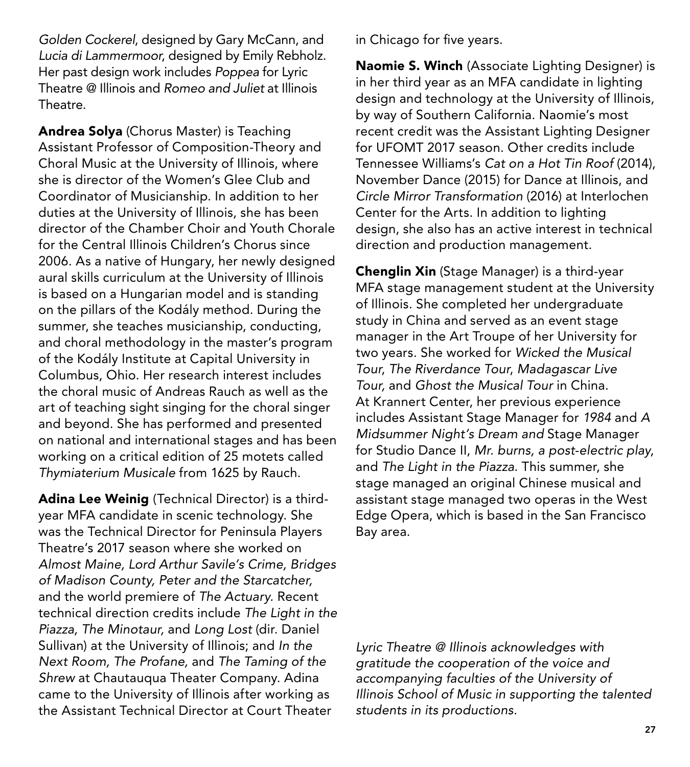*Golden Cockerel*, designed by Gary McCann, and *Lucia di Lammermoor*, designed by Emily Rebholz. Her past design work includes *Poppea* for Lyric Theatre @ Illinois and *Romeo and Juliet* at Illinois Theatre.

Andrea Solya (Chorus Master) is Teaching Assistant Professor of Composition-Theory and Choral Music at the University of Illinois, where she is director of the Women's Glee Club and Coordinator of Musicianship. In addition to her duties at the University of Illinois, she has been director of the Chamber Choir and Youth Chorale for the Central Illinois Children's Chorus since 2006. As a native of Hungary, her newly designed aural skills curriculum at the University of Illinois is based on a Hungarian model and is standing on the pillars of the Kodály method. During the summer, she teaches musicianship, conducting, and choral methodology in the master's program of the Kodály Institute at Capital University in Columbus, Ohio. Her research interest includes the choral music of Andreas Rauch as well as the art of teaching sight singing for the choral singer and beyond. She has performed and presented on national and international stages and has been working on a critical edition of 25 motets called *Thymiaterium Musicale* from 1625 by Rauch.

Adina Lee Weinig (Technical Director) is a thirdyear MFA candidate in scenic technology. She was the Technical Director for Peninsula Players Theatre's 2017 season where she worked on *Almost Maine, Lord Arthur Savile's Crime, Bridges of Madison County, Peter and the Starcatcher,*  and the world premiere of *The Actuary.* Recent technical direction credits include *The Light in the Piazza, The Minotaur,* and *Long Lost* (dir. Daniel Sullivan) at the University of Illinois; and *In the Next Room, The Profane,* and *The Taming of the Shrew* at Chautauqua Theater Company. Adina came to the University of Illinois after working as the Assistant Technical Director at Court Theater

in Chicago for five years.

Naomie S. Winch (Associate Lighting Designer) is in her third year as an MFA candidate in lighting design and technology at the University of Illinois, by way of Southern California. Naomie's most recent credit was the Assistant Lighting Designer for UFOMT 2017 season. Other credits include Tennessee Williams's *Cat on a Hot Tin Roof* (2014), November Dance (2015) for Dance at Illinois, and *Circle Mirror Transformation* (2016) at Interlochen Center for the Arts. In addition to lighting design, she also has an active interest in technical direction and production management.

Chenglin Xin (Stage Manager) is a third-year MFA stage management student at the University of Illinois. She completed her undergraduate study in China and served as an event stage manager in the Art Troupe of her University for two years. She worked for *Wicked the Musical Tour*, *The Riverdance Tour*, *Madagascar Live Tour,* and *Ghost the Musical Tour* in China. At Krannert Center, her previous experience includes Assistant Stage Manager for *1984* and *A Midsummer Night's Dream and* Stage Manager for Studio Dance II, *Mr. burns, a post-electric play*, and *The Light in the Piazza*. This summer, she stage managed an original Chinese musical and assistant stage managed two operas in the West Edge Opera, which is based in the San Francisco Bay area.

*Lyric Theatre @ Illinois acknowledges with gratitude the cooperation of the voice and accompanying faculties of the University of Illinois School of Music in supporting the talented students in its productions.*